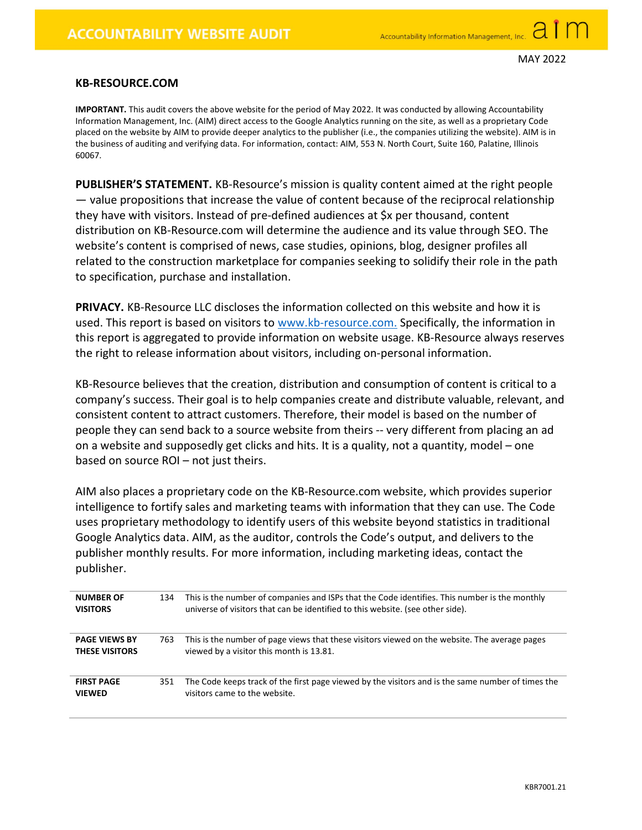## KB-RESOURCE.COM

IMPORTANT. This audit covers the above website for the period of May 2022. It was conducted by allowing Accountability Information Management, Inc. (AIM) direct access to the Google Analytics running on the site, as well as a proprietary Code placed on the website by AIM to provide deeper analytics to the publisher (i.e., the companies utilizing the website). AIM is in the business of auditing and verifying data. For information, contact: AIM, 553 N. North Court, Suite 160, Palatine, Illinois 60067.

PUBLISHER'S STATEMENT. KB-Resource's mission is quality content aimed at the right people — value propositions that increase the value of content because of the reciprocal relationship they have with visitors. Instead of pre-defined audiences at \$x per thousand, content distribution on KB-Resource.com will determine the audience and its value through SEO. The website's content is comprised of news, case studies, opinions, blog, designer profiles all related to the construction marketplace for companies seeking to solidify their role in the path to specification, purchase and installation.

PRIVACY. KB-Resource LLC discloses the information collected on this website and how it is used. This report is based on visitors to www.kb-resource.com. Specifically, the information in this report is aggregated to provide information on website usage. KB-Resource always reserves the right to release information about visitors, including on-personal information.

KB-Resource believes that the creation, distribution and consumption of content is critical to a company's success. Their goal is to help companies create and distribute valuable, relevant, and consistent content to attract customers. Therefore, their model is based on the number of people they can send back to a source website from theirs -- very different from placing an ad on a website and supposedly get clicks and hits. It is a quality, not a quantity, model – one based on source ROI – not just theirs.

AIM also places a proprietary code on the KB-Resource.com website, which provides superior intelligence to fortify sales and marketing teams with information that they can use. The Code uses proprietary methodology to identify users of this website beyond statistics in traditional Google Analytics data. AIM, as the auditor, controls the Code's output, and delivers to the publisher monthly results. For more information, including marketing ideas, contact the publisher.

| <b>NUMBER OF</b><br><b>VISITORS</b>           | 134 | This is the number of companies and ISPs that the Code identifies. This number is the monthly<br>universe of visitors that can be identified to this website. (see other side). |
|-----------------------------------------------|-----|---------------------------------------------------------------------------------------------------------------------------------------------------------------------------------|
| <b>PAGE VIEWS BY</b><br><b>THESE VISITORS</b> | 763 | This is the number of page views that these visitors viewed on the website. The average pages<br>viewed by a visitor this month is 13.81.                                       |
| <b>FIRST PAGE</b><br><b>VIEWED</b>            | 351 | The Code keeps track of the first page viewed by the visitors and is the same number of times the<br>visitors came to the website.                                              |